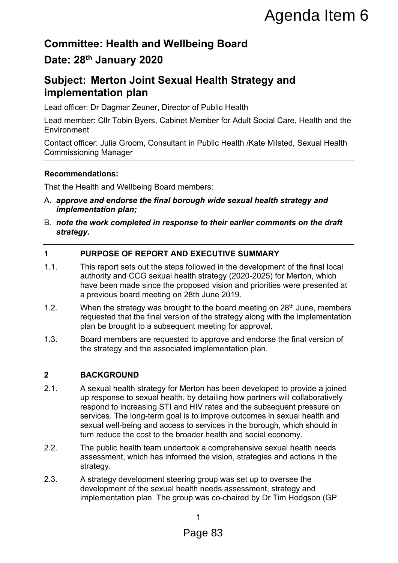# **Committee: Health and Wellbeing Board**

# **Date: 28th January 2020**

# **Subject: Merton Joint Sexual Health Strategy and implementation plan**

Lead officer: Dr Dagmar Zeuner, Director of Public Health

Lead member: Cllr Tobin Byers, Cabinet Member for Adult Social Care, Health and the **Environment** 

Contact officer: Julia Groom, Consultant in Public Health /Kate Milsted, Sexual Health Commissioning Manager

# **Recommendations:**

That the Health and Wellbeing Board members:

- A. *approve and endorse the final borough wide sexual health strategy and implementation plan;*
- B. *note the work completed in response to their earlier comments on the draft strategy.*

# **1 PURPOSE OF REPORT AND EXECUTIVE SUMMARY**

- 1.1. This report sets out the steps followed in the development of the final local authority and CCG sexual health strategy (2020-2025) for Merton, which have been made since the proposed vision and priorities were presented at a previous board meeting on 28th June 2019.
- 1.2. When the strategy was brought to the board meeting on  $28<sup>th</sup>$  June, members requested that the final version of the strategy along with the implementation plan be brought to a subsequent meeting for approval.
- 1.3. Board members are requested to approve and endorse the final version of the strategy and the associated implementation plan.

# **2 BACKGROUND**

- 2.1. A sexual health strategy for Merton has been developed to provide a joined up response to sexual health, by detailing how partners will collaboratively respond to increasing STI and HIV rates and the subsequent pressure on services. The long-term goal is to improve outcomes in sexual health and sexual well-being and access to services in the borough, which should in turn reduce the cost to the broader health and social economy. **Agenda Item 6**<br> **Deling Board**<br> **All Health Strategy and**<br>
or of Public Health<br>
the Member for Adult Social Care, Health and the<br>
tim Public Health /Kate Milsted, Sexual Health<br>
nembers:<br>
From the Member of Adult Social C
- 2.2. The public health team undertook a comprehensive sexual health needs assessment, which has informed the vision, strategies and actions in the strategy.
- 2.3. A strategy development steering group was set up to oversee the development of the sexual health needs assessment, strategy and implementation plan. The group was co-chaired by Dr Tim Hodgson (GP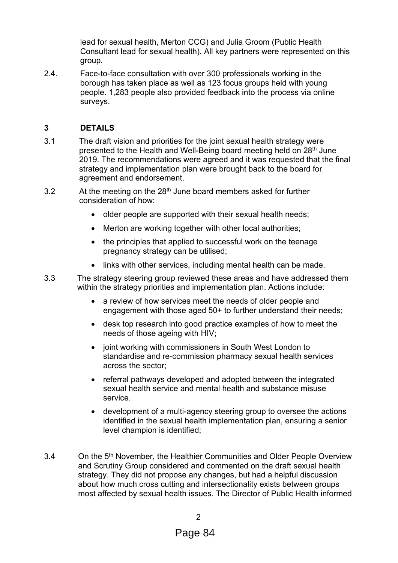lead for sexual health, Merton CCG) and Julia Groom (Public Health Consultant lead for sexual health). All key partners were represented on this group.

2.4. Face-to-face consultation with over 300 professionals working in the borough has taken place as well as 123 focus groups held with young people. 1,283 people also provided feedback into the process via online surveys.

# **3 DETAILS**

- 3.1 The draft vision and priorities for the joint sexual health strategy were presented to the Health and Well-Being board meeting held on 28<sup>th</sup> June 2019. The recommendations were agreed and it was requested that the final strategy and implementation plan were brought back to the board for agreement and endorsement.
- 3.2 At the meeting on the 28<sup>th</sup> June board members asked for further consideration of how:
	- older people are supported with their sexual health needs;
	- Merton are working together with other local authorities;
	- the principles that applied to successful work on the teenage pregnancy strategy can be utilised;
	- links with other services, including mental health can be made.
- 3.3 The strategy steering group reviewed these areas and have addressed them within the strategy priorities and implementation plan. Actions include:
	- a review of how services meet the needs of older people and engagement with those aged 50+ to further understand their needs;
	- desk top research into good practice examples of how to meet the needs of those ageing with HIV;
	- joint working with commissioners in South West London to standardise and re-commission pharmacy sexual health services across the sector;
	- referral pathways developed and adopted between the integrated sexual health service and mental health and substance misuse service.
	- development of a multi-agency steering group to oversee the actions identified in the sexual health implementation plan, ensuring a senior level champion is identified;
- 3.4 On the 5<sup>th</sup> November, the Healthier Communities and Older People Overview and Scrutiny Group considered and commented on the draft sexual health strategy. They did not propose any changes, but had a helpful discussion about how much cross cutting and intersectionality exists between groups most affected by sexual health issues. The Director of Public Health informed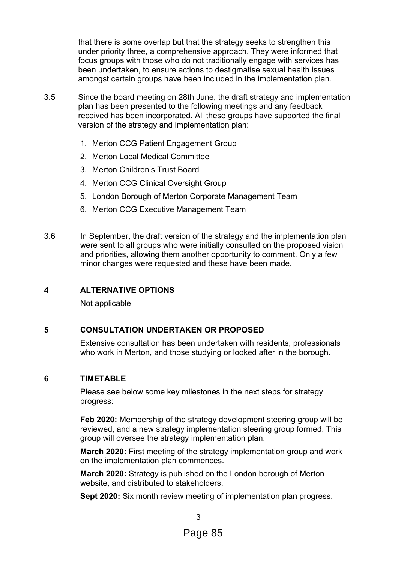that there is some overlap but that the strategy seeks to strengthen this under priority three, a comprehensive approach. They were informed that focus groups with those who do not traditionally engage with services has been undertaken, to ensure actions to destigmatise sexual health issues amongst certain groups have been included in the implementation plan.

- 3.5 Since the board meeting on 28th June, the draft strategy and implementation plan has been presented to the following meetings and any feedback received has been incorporated. All these groups have supported the final version of the strategy and implementation plan:
	- 1. Merton CCG Patient Engagement Group
	- 2. Merton Local Medical Committee
	- 3. Merton Children's Trust Board
	- 4. Merton CCG Clinical Oversight Group
	- 5. London Borough of Merton Corporate Management Team
	- 6. Merton CCG Executive Management Team
- 3.6 In September, the draft version of the strategy and the implementation plan were sent to all groups who were initially consulted on the proposed vision and priorities, allowing them another opportunity to comment. Only a few minor changes were requested and these have been made.

## **4 ALTERNATIVE OPTIONS**

Not applicable

## **5 CONSULTATION UNDERTAKEN OR PROPOSED**

Extensive consultation has been undertaken with residents, professionals who work in Merton, and those studying or looked after in the borough.

#### **6 TIMETABLE**

Please see below some key milestones in the next steps for strategy progress:

**Feb 2020:** Membership of the strategy development steering group will be reviewed, and a new strategy implementation steering group formed. This group will oversee the strategy implementation plan.

**March 2020:** First meeting of the strategy implementation group and work on the implementation plan commences.

**March 2020:** Strategy is published on the London borough of Merton website, and distributed to stakeholders.

**Sept 2020:** Six month review meeting of implementation plan progress.